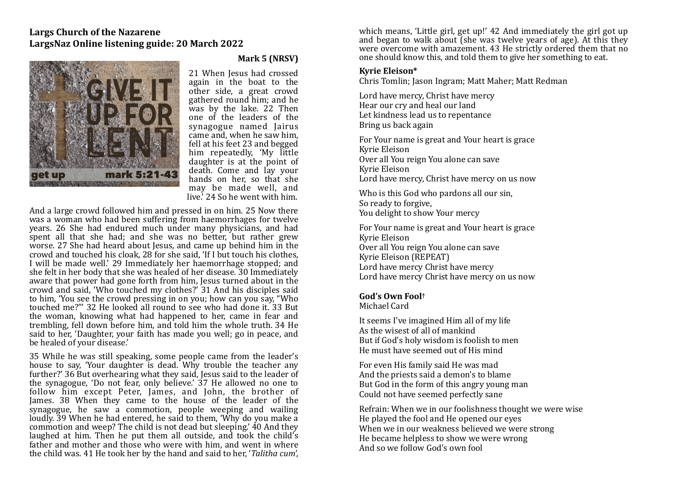# **Largs Church of the Nazarene** LargsNaz Online listening guide: 20 March 2022



# **Mark 5 (NRSV)**

21 When Jesus had crossed again in the boat to the other side, a great crowd gathered round him; and he was by the lake. 22 Then one of the leaders of the synagogue named lairus came and, when he saw him. fell at his feet 23 and begged him repeatedly. 'My little daughter is at the point of death. Come and lay your hands on her, so that she may be made well, and live.<sup>7</sup> 24 So he went with him.

And a large crowd followed him and pressed in on him. 25 Now there was a woman who had been suffering from haemorrhages for twelve years. 26 She had endured much under many physicians, and had spent all that she had; and she was no better, but rather grew worse. 27 She had heard about Jesus, and came up behind him in the crowd and touched his cloak,  $28$  for she said, 'If I but touch his clothes, I will be made well.' 29 Immediately her haemorrhage stopped; and she felt in her body that she was healed of her disease. 30 Immediately aware that power had gone forth from him, Jesus turned about in the crowd and said, 'Who touched my clothes?' 31 And his disciples said to him, 'You see the crowd pressing in on you; how can you say, "Who touched me?"' 32 He looked all round to see who had done it. 33 But the woman, knowing what had happened to her, came in fear and trembling, fell down before him, and told him the whole truth. 34 He said to her, 'Daughter, your faith has made you well; go in peace, and be healed of your disease.'

35 While he was still speaking, some people came from the leader's house to say, 'Your daughter is dead. Why trouble the teacher any further?' 36 But overhearing what they said, Jesus said to the leader of the synagogue, 'Do not fear, only believe.'  $37$  He allowed no one to follow him except Peter, James, and John, the brother of James.  $38$  When they came to the house of the leader of the synagogue, he saw a commotion, people weeping and wailing loudly. 39 When he had entered, he said to them, 'Why do you make a commotion and weep? The child is not dead but sleeping.' 40 And they laughed at him. Then he put them all outside, and took the child's father and mother and those who were with him, and went in where the child was. 41 He took her by the hand and said to her, '*Talitha cum*',

which means, 'Little girl, get up!' 42 And immediately the girl got up and began to walk about (she was twelve years of age). At this they were overcome with amazement. 43 He strictly ordered them that no one should know this, and told them to give her something to eat.

#### **Kyrie Eleison\***

Chris Tomlin; Jason Ingram; Matt Maher; Matt Redman

Lord have mercy, Christ have mercy Hear our cry and heal our land Let kindness lead us to repentance Bring us back again

For Your name is great and Your heart is grace Kyrie Eleison Over all You reign You alone can save Kyrie Eleison Lord have mercy, Christ have mercy on us now

Who is this God who pardons all our sin, So ready to forgive, You delight to show Your mercy

For Your name is great and Your heart is grace Kyrie Eleison Over all You reign You alone can save Kyrie Eleison (REPEAT) Lord have mercy Christ have mercy Lord have mercy Christ have mercy on us now

## God's Own Fool<sup>†</sup>

Michael Card

It seems I've imagined Him all of my life As the wisest of all of mankind But if God's holy wisdom is foolish to men He must have seemed out of His mind

For even His family said He was mad And the priests said a demon's to blame But God in the form of this angry young man Could not have seemed perfectly sane

Refrain: When we in our foolishness thought we were wise He played the fool and He opened our eyes When we in our weakness believed we were strong He became helpless to show we were wrong And so we follow God's own fool